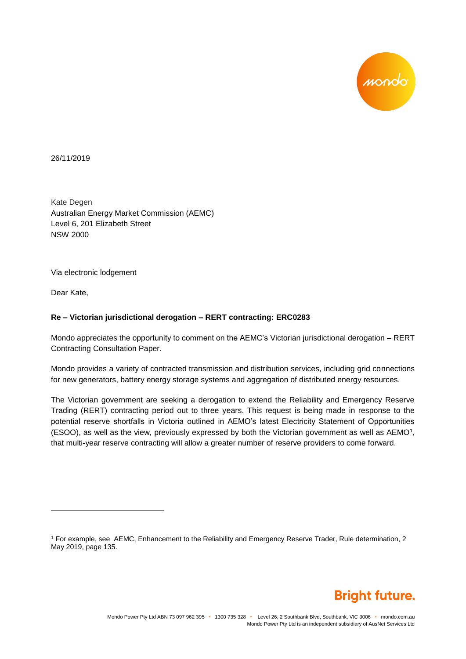

26/11/2019

Kate Degen Australian Energy Market Commission (AEMC) Level 6, 201 Elizabeth Street NSW 2000

Via electronic lodgement

Dear Kate,

l

## **Re – Victorian jurisdictional derogation – RERT contracting: ERC0283**

Mondo appreciates the opportunity to comment on the AEMC's Victorian jurisdictional derogation – RERT Contracting Consultation Paper.

Mondo provides a variety of contracted transmission and distribution services, including grid connections for new generators, battery energy storage systems and aggregation of distributed energy resources.

The Victorian government are seeking a derogation to extend the Reliability and Emergency Reserve Trading (RERT) contracting period out to three years. This request is being made in response to the potential reserve shortfalls in Victoria outlined in AEMO's latest Electricity Statement of Opportunities (ESOO), as well as the view, previously expressed by both the Victorian government as well as AEMO<sup>1</sup>, that multi-year reserve contracting will allow a greater number of reserve providers to come forward.



<sup>1</sup> For example, see AEMC, Enhancement to the Reliability and Emergency Reserve Trader, Rule determination, 2 May 2019, page 135.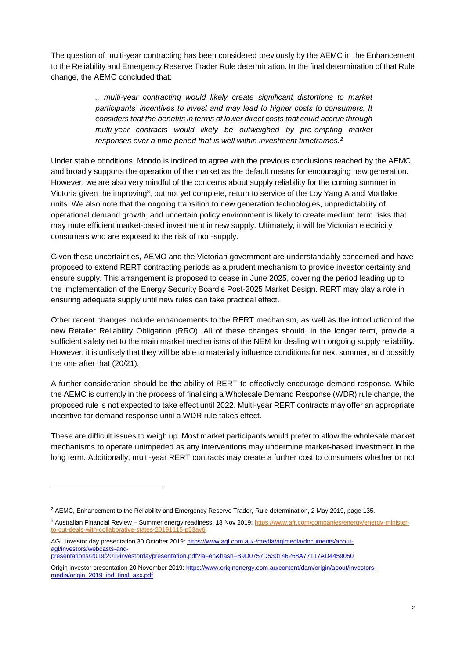The question of multi-year contracting has been considered previously by the AEMC in the Enhancement to the Reliability and Emergency Reserve Trader Rule determination. In the final determination of that Rule change, the AEMC concluded that:

> *.. multi-year contracting would likely create significant distortions to market participants' incentives to invest and may lead to higher costs to consumers. It considers that the benefits in terms of lower direct costs that could accrue through multi-year contracts would likely be outweighed by pre-empting market responses over a time period that is well within investment timeframes.<sup>2</sup>*

Under stable conditions, Mondo is inclined to agree with the previous conclusions reached by the AEMC, and broadly supports the operation of the market as the default means for encouraging new generation. However, we are also very mindful of the concerns about supply reliability for the coming summer in Victoria given the improving<sup>3</sup>, but not yet complete, return to service of the Loy Yang A and Mortlake units. We also note that the ongoing transition to new generation technologies, unpredictability of operational demand growth, and uncertain policy environment is likely to create medium term risks that may mute efficient market-based investment in new supply. Ultimately, it will be Victorian electricity consumers who are exposed to the risk of non-supply.

Given these uncertainties, AEMO and the Victorian government are understandably concerned and have proposed to extend RERT contracting periods as a prudent mechanism to provide investor certainty and ensure supply. This arrangement is proposed to cease in June 2025, covering the period leading up to the implementation of the Energy Security Board's Post-2025 Market Design. RERT may play a role in ensuring adequate supply until new rules can take practical effect.

Other recent changes include enhancements to the RERT mechanism, as well as the introduction of the new Retailer Reliability Obligation (RRO). All of these changes should, in the longer term, provide a sufficient safety net to the main market mechanisms of the NEM for dealing with ongoing supply reliability. However, it is unlikely that they will be able to materially influence conditions for next summer, and possibly the one after that (20/21).

A further consideration should be the ability of RERT to effectively encourage demand response. While the AEMC is currently in the process of finalising a Wholesale Demand Response (WDR) rule change, the proposed rule is not expected to take effect until 2022. Multi-year RERT contracts may offer an appropriate incentive for demand response until a WDR rule takes effect.

These are difficult issues to weigh up. Most market participants would prefer to allow the wholesale market mechanisms to operate unimpeded as any interventions may undermine market-based investment in the long term. Additionally, multi-year RERT contracts may create a further cost to consumers whether or not

l

<sup>2</sup> AEMC, Enhancement to the Reliability and Emergency Reserve Trader, Rule determination, 2 May 2019, page 135.

<sup>&</sup>lt;sup>3</sup> Australian Financial Review – Summer energy readiness, 18 Nov 2019[: https://www.afr.com/companies/energy/energy-minister](https://www.afr.com/companies/energy/energy-minister-to-cut-deals-with-collaborative-states-20191115-p53av6)[to-cut-deals-with-collaborative-states-20191115-p53av6](https://www.afr.com/companies/energy/energy-minister-to-cut-deals-with-collaborative-states-20191115-p53av6)

AGL investor day presentation 30 October 2019: [https://www.agl.com.au/-/media/aglmedia/documents/about](https://www.agl.com.au/-/media/aglmedia/documents/about-agl/investors/webcasts-and-presentations/2019/2019investordaypresentation.pdf?la=en&hash=B9D0757D530146268A77117AD4459050)[agl/investors/webcasts-and](https://www.agl.com.au/-/media/aglmedia/documents/about-agl/investors/webcasts-and-presentations/2019/2019investordaypresentation.pdf?la=en&hash=B9D0757D530146268A77117AD4459050)[presentations/2019/2019investordaypresentation.pdf?la=en&hash=B9D0757D530146268A77117AD4459050](https://www.agl.com.au/-/media/aglmedia/documents/about-agl/investors/webcasts-and-presentations/2019/2019investordaypresentation.pdf?la=en&hash=B9D0757D530146268A77117AD4459050)

Origin investor presentation 20 November 2019[: https://www.originenergy.com.au/content/dam/origin/about/investors](https://www.originenergy.com.au/content/dam/origin/about/investors-media/origin_2019_ibd_final_asx.pdf)[media/origin\\_2019\\_ibd\\_final\\_asx.pdf](https://www.originenergy.com.au/content/dam/origin/about/investors-media/origin_2019_ibd_final_asx.pdf)